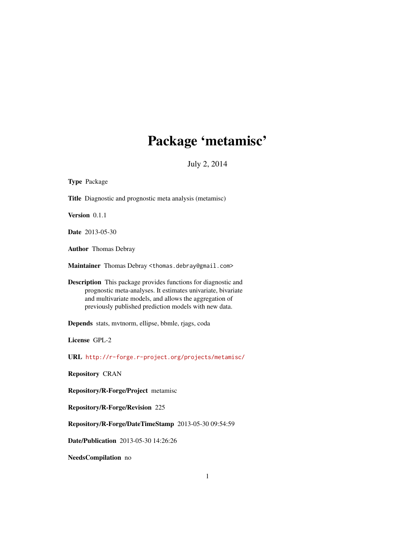# Package 'metamisc'

July 2, 2014

<span id="page-0-0"></span>

| Type Package                                                                                                                                                                                                                                      |
|---------------------------------------------------------------------------------------------------------------------------------------------------------------------------------------------------------------------------------------------------|
| Title Diagnostic and prognostic meta analysis (metamisc)                                                                                                                                                                                          |
| Version 0.1.1                                                                                                                                                                                                                                     |
| Date 2013-05-30                                                                                                                                                                                                                                   |
| <b>Author</b> Thomas Debray                                                                                                                                                                                                                       |
| Maintainer Thomas Debray <thomas.debray@gmail.com></thomas.debray@gmail.com>                                                                                                                                                                      |
| Description This package provides functions for diagnostic and<br>prognostic meta-analyses. It estimates univariate, bivariate<br>and multivariate models, and allows the aggregation of<br>previously published prediction models with new data. |
| Depends stats, mytnorm, ellipse, bbmle, rjags, coda                                                                                                                                                                                               |
| License GPL-2                                                                                                                                                                                                                                     |
| URL http://r-forge.r-project.org/projects/metamisc/                                                                                                                                                                                               |
| <b>Repository CRAN</b>                                                                                                                                                                                                                            |
| <b>Repository/R-Forge/Project</b> metamisc                                                                                                                                                                                                        |
| <b>Repository/R-Forge/Revision 225</b>                                                                                                                                                                                                            |
| Repository/R-Forge/DateTimeStamp 2013-05-30 09:54:59                                                                                                                                                                                              |
| Date/Publication 2013-05-30 14:26:26                                                                                                                                                                                                              |
| NeedsCompilation no                                                                                                                                                                                                                               |
|                                                                                                                                                                                                                                                   |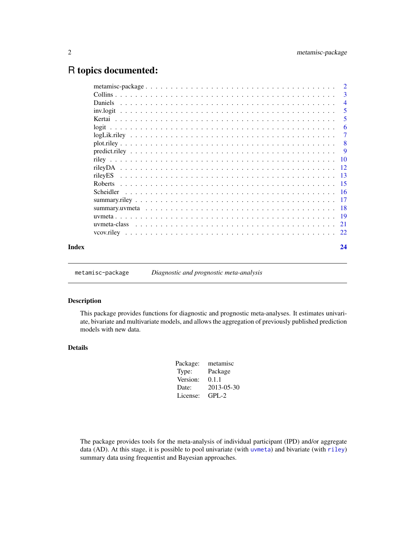# <span id="page-1-0"></span>R topics documented:

|       |                  | $\overline{\phantom{a}}$ |
|-------|------------------|--------------------------|
|       |                  | $\overline{4}$           |
|       |                  | 5                        |
|       |                  | 5                        |
|       |                  | 6                        |
|       |                  | 7                        |
|       |                  | $\sqrt{8}$               |
|       |                  |                          |
|       |                  |                          |
|       |                  |                          |
|       |                  |                          |
|       |                  |                          |
|       | <b>Scheidler</b> |                          |
|       |                  |                          |
|       |                  |                          |
|       |                  |                          |
|       |                  |                          |
|       |                  |                          |
| Index |                  | 24                       |
|       |                  |                          |

metamisc-package *Diagnostic and prognostic meta-analysis*

### Description

This package provides functions for diagnostic and prognostic meta-analyses. It estimates univariate, bivariate and multivariate models, and allows the aggregation of previously published prediction models with new data.

# Details

| Package: | metamisc   |
|----------|------------|
| Type:    | Package    |
| Version: | 0.1.1      |
| Date:    | 2013-05-30 |
| License: | $GPL-2$    |
|          |            |

The package provides tools for the meta-analysis of individual participant (IPD) and/or aggregate data (AD). At this stage, it is possible to pool univariate (with [uvmeta](#page-18-1)) and bivariate (with [riley](#page-9-1)) summary data using frequentist and Bayesian approaches.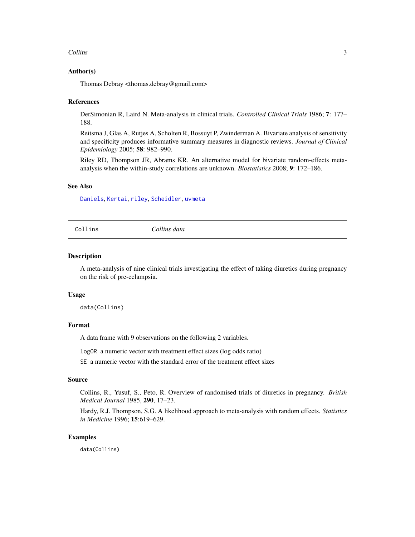#### <span id="page-2-0"></span>Collins 3

# Author(s)

Thomas Debray <thomas.debray@gmail.com>

#### References

DerSimonian R, Laird N. Meta-analysis in clinical trials. *Controlled Clinical Trials* 1986; 7: 177– 188.

Reitsma J, Glas A, Rutjes A, Scholten R, Bossuyt P, Zwinderman A. Bivariate analysis of sensitivity and specificity produces informative summary measures in diagnostic reviews. *Journal of Clinical Epidemiology* 2005; 58: 982–990.

Riley RD, Thompson JR, Abrams KR. An alternative model for bivariate random-effects metaanalysis when the within-study correlations are unknown. *Biostatistics* 2008; 9: 172–186.

# See Also

[Daniels](#page-3-1), [Kertai](#page-4-1), [riley](#page-9-1), [Scheidler](#page-15-1), [uvmeta](#page-18-1)

Collins *Collins data*

#### Description

A meta-analysis of nine clinical trials investigating the effect of taking diuretics during pregnancy on the risk of pre-eclampsia.

#### Usage

data(Collins)

#### Format

A data frame with 9 observations on the following 2 variables.

logOR a numeric vector with treatment effect sizes (log odds ratio)

SE a numeric vector with the standard error of the treatment effect sizes

# Source

Collins, R., Yusuf, S., Peto, R. Overview of randomised trials of diuretics in pregnancy. *British Medical Journal* 1985, 290, 17–23.

Hardy, R.J. Thompson, S.G. A likelihood approach to meta-analysis with random effects. *Statistics in Medicine* 1996; 15:619–629.

#### Examples

data(Collins)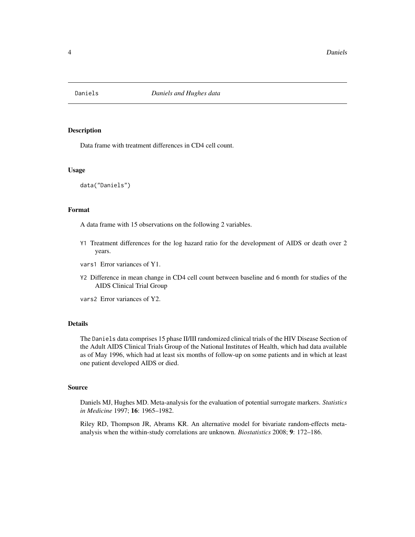<span id="page-3-1"></span><span id="page-3-0"></span>

Data frame with treatment differences in CD4 cell count.

#### Usage

data("Daniels")

# Format

A data frame with 15 observations on the following 2 variables.

- Y1 Treatment differences for the log hazard ratio for the development of AIDS or death over 2 years.
- vars1 Error variances of Y1.
- Y2 Difference in mean change in CD4 cell count between baseline and 6 month for studies of the AIDS Clinical Trial Group

vars2 Error variances of Y2.

#### Details

The Daniels data comprises 15 phase II/III randomized clinical trials of the HIV Disease Section of the Adult AIDS Clinical Trials Group of the National Institutes of Health, which had data available as of May 1996, which had at least six months of follow-up on some patients and in which at least one patient developed AIDS or died.

#### Source

Daniels MJ, Hughes MD. Meta-analysis for the evaluation of potential surrogate markers. *Statistics in Medicine* 1997; 16: 1965–1982.

Riley RD, Thompson JR, Abrams KR. An alternative model for bivariate random-effects metaanalysis when the within-study correlations are unknown. *Biostatistics* 2008; 9: 172–186.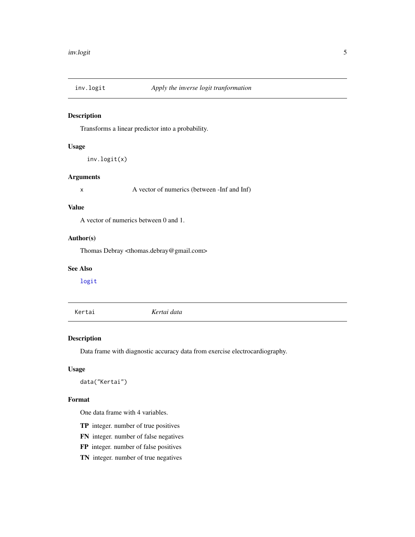<span id="page-4-2"></span><span id="page-4-0"></span>

Transforms a linear predictor into a probability.

# Usage

```
inv.logit(x)
```
# Arguments

x A vector of numerics (between -Inf and Inf)

# Value

A vector of numerics between 0 and 1.

# Author(s)

Thomas Debray <thomas.debray@gmail.com>

# See Also

[logit](#page-5-1)

<span id="page-4-1"></span>Kertai *Kertai data*

#### Description

Data frame with diagnostic accuracy data from exercise electrocardiography.

# Usage

```
data("Kertai")
```
# Format

One data frame with 4 variables.

- TP integer. number of true positives
- FN integer. number of false negatives
- FP integer. number of false positives
- TN integer. number of true negatives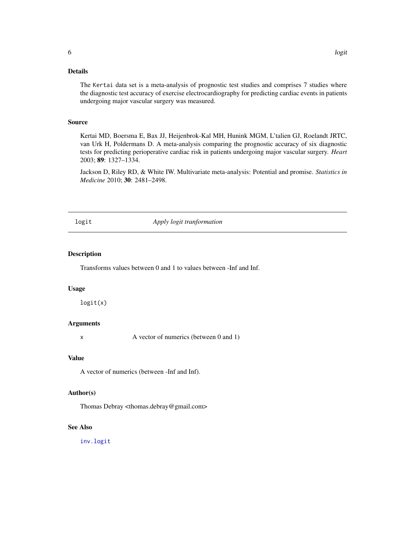# <span id="page-5-0"></span>Details

The Kertai data set is a meta-analysis of prognostic test studies and comprises 7 studies where the diagnostic test accuracy of exercise electrocardiography for predicting cardiac events in patients undergoing major vascular surgery was measured.

#### Source

Kertai MD, Boersma E, Bax JJ, Heijenbrok-Kal MH, Hunink MGM, L'talien GJ, Roelandt JRTC, van Urk H, Poldermans D. A meta-analysis comparing the prognostic accuracy of six diagnostic tests for predicting perioperative cardiac risk in patients undergoing major vascular surgery. *Heart* 2003; 89: 1327–1334.

Jackson D, Riley RD, & White IW. Multivariate meta-analysis: Potential and promise. *Statistics in Medicine* 2010; 30: 2481–2498.

#### <span id="page-5-1"></span>logit *Apply logit tranformation*

# Description

Transforms values between 0 and 1 to values between -Inf and Inf.

#### Usage

logit(x)

#### Arguments

x A vector of numerics (between 0 and 1)

#### Value

A vector of numerics (between -Inf and Inf).

#### Author(s)

Thomas Debray <thomas.debray@gmail.com>

#### See Also

[inv.logit](#page-4-2)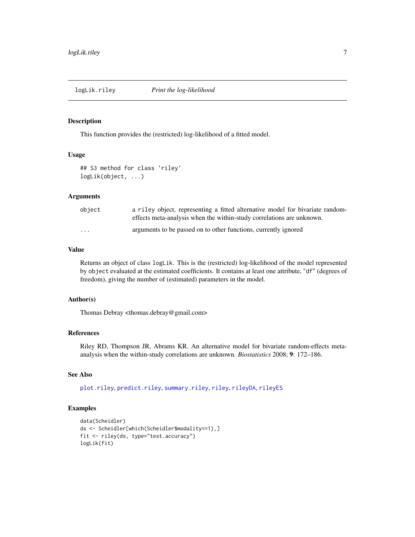<span id="page-6-1"></span><span id="page-6-0"></span>

This function provides the (restricted) log-likelihood of a fitted model.

#### Usage

```
## S3 method for class 'riley'
logLik(object, ...)
```
#### **Arguments**

| obiect                  | a riley object, representing a fitted alternative model for bivariate random-<br>effects meta-analysis when the within-study correlations are unknown. |
|-------------------------|--------------------------------------------------------------------------------------------------------------------------------------------------------|
| $\cdot$ $\cdot$ $\cdot$ | arguments to be passed on to other functions, currently ignored                                                                                        |

# Value

Returns an object of class logLik. This is the (restricted) log-likelihood of the model represented by object evaluated at the estimated coefficients. It contains at least one attribute, "df" (degrees of freedom), giving the number of (estimated) parameters in the model.

# Author(s)

Thomas Debray <thomas.debray@gmail.com>

# References

Riley RD, Thompson JR, Abrams KR. An alternative model for bivariate random-effects metaanalysis when the within-study correlations are unknown. *Biostatistics* 2008; 9: 172–186.

# See Also

[plot.riley](#page-7-1), [predict.riley](#page-8-1), [summary.riley](#page-16-1), [riley](#page-9-1), [rileyDA](#page-11-1), [rileyES](#page-12-1)

#### Examples

```
data(Scheidler)
ds <- Scheidler[which(Scheidler$modality==1),]
fit <- riley(ds, type="test.accuracy")
logLik(fit)
```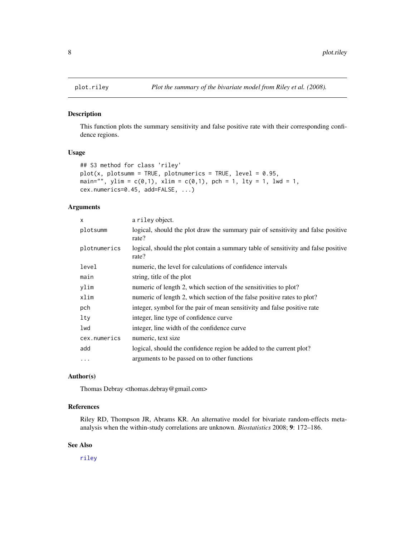<span id="page-7-1"></span><span id="page-7-0"></span>

This function plots the summary sensitivity and false positive rate with their corresponding confidence regions.

# Usage

```
## S3 method for class 'riley'
plot(x, plotsumm = TRUE, plotnumeries = TRUE, level = 0.95,main="", ylim = c(0,1), xlim = c(0,1), pch = 1, lty = 1, lwd = 1,
cex.numerics=0.45, add=FALSE, ...)
```
#### Arguments

| $\mathsf{x}$ | a riley object.                                                                             |
|--------------|---------------------------------------------------------------------------------------------|
| plotsumm     | logical, should the plot draw the summary pair of sensitivity and false positive<br>rate?   |
| plotnumerics | logical, should the plot contain a summary table of sensitivity and false positive<br>rate? |
| level        | numeric, the level for calculations of confidence intervals                                 |
| main         | string, title of the plot                                                                   |
| ylim         | numeric of length 2, which section of the sensitivities to plot?                            |
| xlim         | numeric of length 2, which section of the false positive rates to plot?                     |
| pch          | integer, symbol for the pair of mean sensitivity and false positive rate                    |
| lty          | integer, line type of confidence curve                                                      |
| lwd          | integer, line width of the confidence curve.                                                |
| cex.numerics | numeric, text size                                                                          |
| add          | logical, should the confidence region be added to the current plot?                         |
| $\cdots$     | arguments to be passed on to other functions                                                |
|              |                                                                                             |

# Author(s)

Thomas Debray <thomas.debray@gmail.com>

# References

Riley RD, Thompson JR, Abrams KR. An alternative model for bivariate random-effects metaanalysis when the within-study correlations are unknown. *Biostatistics* 2008; 9: 172–186.

#### See Also

[riley](#page-9-1)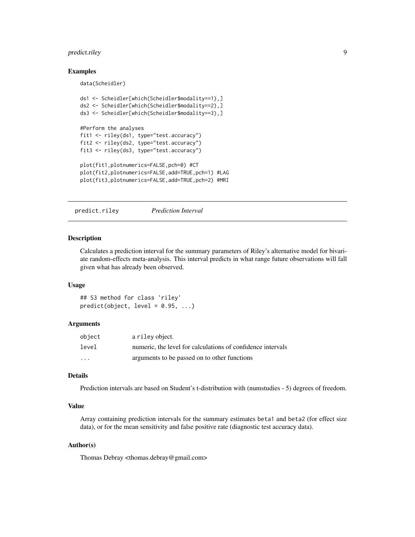# <span id="page-8-0"></span>predict.riley 9

#### Examples

data(Scheidler)

```
ds1 <- Scheidler[which(Scheidler$modality==1),]
ds2 <- Scheidler[which(Scheidler$modality==2),]
ds3 <- Scheidler[which(Scheidler$modality==3),]
#Perform the analyses
fit1 <- riley(ds1, type="test.accuracy")
fit2 <- riley(ds2, type="test.accuracy")
fit3 <- riley(ds3, type="test.accuracy")
plot(fit1,plotnumerics=FALSE,pch=0) #CT
plot(fit2,plotnumerics=FALSE,add=TRUE,pch=1) #LAG
plot(fit3,plotnumerics=FALSE,add=TRUE,pch=2) #MRI
```
<span id="page-8-1"></span>predict.riley *Prediction Interval*

# Description

Calculates a prediction interval for the summary parameters of Riley's alternative model for bivariate random-effects meta-analysis. This interval predicts in what range future observations will fall given what has already been observed.

#### Usage

## S3 method for class 'riley'  $predict(object, level = 0.95, ...)$ 

#### Arguments

| object   | a riley object.                                             |
|----------|-------------------------------------------------------------|
| level    | numeric, the level for calculations of confidence intervals |
| $\cdots$ | arguments to be passed on to other functions                |

#### Details

Prediction intervals are based on Student's t-distribution with (numstudies - 5) degrees of freedom.

# Value

Array containing prediction intervals for the summary estimates beta1 and beta2 (for effect size data), or for the mean sensitivity and false positive rate (diagnostic test accuracy data).

#### Author(s)

Thomas Debray <thomas.debray@gmail.com>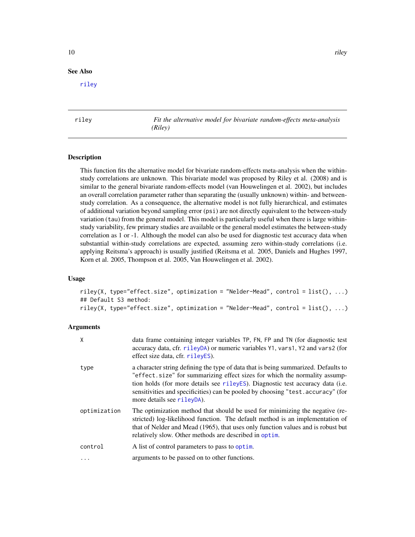#### <span id="page-9-0"></span>See Also

[riley](#page-9-1)

<span id="page-9-1"></span>riley *Fit the alternative model for bivariate random-effects meta-analysis (Riley)*

#### **Description**

This function fits the alternative model for bivariate random-effects meta-analysis when the withinstudy correlations are unknown. This bivariate model was proposed by Riley et al. (2008) and is similar to the general bivariate random-effects model (van Houwelingen et al. 2002), but includes an overall correlation parameter rather than separating the (usually unknown) within- and betweenstudy correlation. As a consequence, the alternative model is not fully hierarchical, and estimates of additional variation beyond sampling error (psi) are not directly equivalent to the between-study variation (tau) from the general model. This model is particularly useful when there is large withinstudy variability, few primary studies are available or the general model estimates the between-study correlation as 1 or -1. Although the model can also be used for diagnostic test accuracy data when substantial within-study correlations are expected, assuming zero within-study correlations (i.e. applying Reitsma's approach) is usually justified (Reitsma et al. 2005, Daniels and Hughes 1997, Korn et al. 2005, Thompson et al. 2005, Van Houwelingen et al. 2002).

#### Usage

riley(X, type="effect.size", optimization = "Nelder-Mead", control = list(), ...) ## Default S3 method: riley(X, type="effect.size", optimization = "Nelder-Mead", control = list(), ...)

#### Arguments

| X            | data frame containing integer variables TP, FN, FP and TN (for diagnostic test<br>accuracy data, cfr. rileyDA) or numeric variables Y1, vars1, Y2 and vars2 (for<br>effect size data, cfr. rileyES).                                                                                                                                                                 |
|--------------|----------------------------------------------------------------------------------------------------------------------------------------------------------------------------------------------------------------------------------------------------------------------------------------------------------------------------------------------------------------------|
| type         | a character string defining the type of data that is being summarized. Defaults to<br>"effect.size" for summarizing effect sizes for which the normality assump-<br>tion holds (for more details see rileyES). Diagnostic test accuracy data (i.e.<br>sensitivities and specificities) can be pooled by choosing "test. accuracy" (for<br>more details see rileyDA). |
| optimization | The optimization method that should be used for minimizing the negative (re-<br>stricted) log-likelihood function. The default method is an implementation of<br>that of Nelder and Mead (1965), that uses only function values and is robust but<br>relatively slow. Other methods are described in optim.                                                          |
| control      | A list of control parameters to pass to optim.                                                                                                                                                                                                                                                                                                                       |
| $\cdots$     | arguments to be passed on to other functions.                                                                                                                                                                                                                                                                                                                        |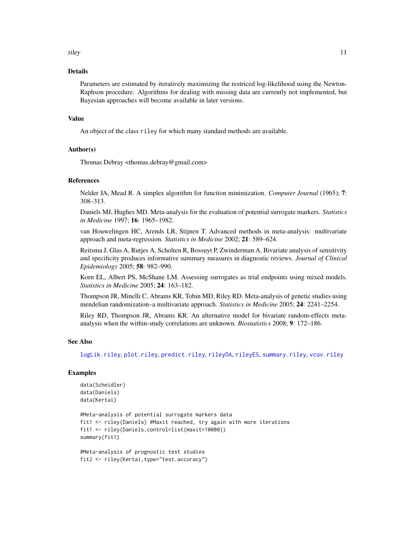<span id="page-10-0"></span>riley the contract of the contract of the contract of the contract of the contract of the contract of the contract of the contract of the contract of the contract of the contract of the contract of the contract of the cont

#### Details

Parameters are estimated by iteratively maximizing the restriced log-likelihood using the Newton-Raphson procedure. Algorithms for dealing with missing data are currently not implemented, but Bayesian approaches will become available in later versions.

#### Value

An object of the class riley for which many standard methods are available.

# Author(s)

Thomas Debray <thomas.debray@gmail.com>

#### References

Nelder JA, Mead R. A simplex algorithm for function minimization. *Computer Journal* (1965); 7: 308–313.

Daniels MJ, Hughes MD. Meta-analysis for the evaluation of potential surrogate markers. *Statistics in Medicine* 1997; 16: 1965–1982.

van Houwelingen HC, Arends LR, Stijnen T. Advanced methods in meta-analysis: multivariate approach and meta-regression. *Statistics in Medicine* 2002; 21: 589–624.

Reitsma J, Glas A, Rutjes A, Scholten R, Bossuyt P, Zwinderman A. Bivariate analysis of sensitivity and specificity produces informative summary measures in diagnostic reviews. *Journal of Clinical Epidemiology* 2005; 58: 982–990.

Korn EL, Albert PS, McShane LM. Assessing surrogates as trial endpoints using mixed models. *Statistics in Medicine* 2005; 24: 163–182.

Thompson JR, Minelli C, Abrams KR, Tobin MD, Riley RD. Meta-analysis of genetic studies using mendelian randomization–a multivariate approach. *Statistics in Medicine* 2005; 24: 2241–2254.

Riley RD, Thompson JR, Abrams KR. An alternative model for bivariate random-effects metaanalysis when the within-study correlations are unknown. *Biostatistics* 2008; 9: 172–186.

#### See Also

[logLik.riley](#page-6-1), [plot.riley](#page-7-1), [predict.riley](#page-8-1), [rileyDA](#page-11-1), [rileyES](#page-12-1), [summary.riley](#page-16-1), [vcov.riley](#page-21-1)

#### Examples

```
data(Scheidler)
data(Daniels)
data(Kertai)
```

```
#Meta-analysis of potential surrogate markers data
fit1 <- riley(Daniels) #Maxit reached, try again with more iterations
fit1 <- riley(Daniels,control=list(maxit=10000))
summary(fit1)
```

```
#Meta-analysis of prognostic test studies
fit2 <- riley(Kertai,type="test.accuracy")
```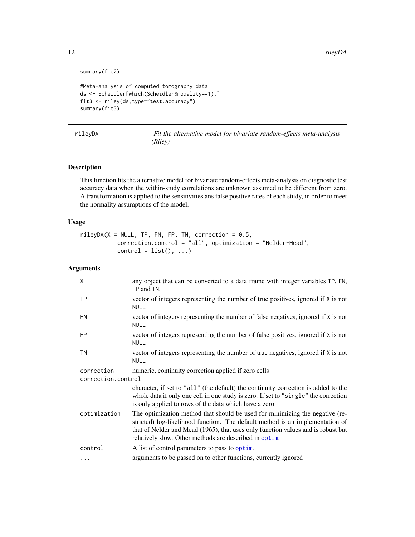```
summary(fit2)
```

```
#Meta-analysis of computed tomography data
ds <- Scheidler[which(Scheidler$modality==1),]
fit3 <- riley(ds,type="test.accuracy")
summary(fit3)
```
<span id="page-11-1"></span>

|  |  | rileyDA |
|--|--|---------|
|  |  |         |

Fit the alternative model for bivariate random-effects meta-analysis *(Riley)*

# Description

This function fits the alternative model for bivariate random-effects meta-analysis on diagnostic test accuracy data when the within-study correlations are unknown assumed to be different from zero. A transformation is applied to the sensitivities ans false positive rates of each study, in order to meet the normality assumptions of the model.

# Usage

 $rileyDA(X = NULL, TP, FN, FP, TN, correction = 0.5,$ correction.control = "all", optimization = "Nelder-Mead",  $control = list(), ...)$ 

# Arguments

| X                  | any object that can be converted to a data frame with integer variables TP, FN,<br>FP and TN.                                                                                                                                                                                                               |  |
|--------------------|-------------------------------------------------------------------------------------------------------------------------------------------------------------------------------------------------------------------------------------------------------------------------------------------------------------|--|
| <b>TP</b>          | vector of integers representing the number of true positives, ignored if X is not<br><b>NULL</b>                                                                                                                                                                                                            |  |
| <b>FN</b>          | vector of integers representing the number of false negatives, ignored if X is not<br><b>NULL</b>                                                                                                                                                                                                           |  |
| <b>FP</b>          | vector of integers representing the number of false positives, ignored if X is not<br><b>NULL</b>                                                                                                                                                                                                           |  |
| <b>TN</b>          | vector of integers representing the number of true negatives, ignored if X is not<br><b>NULL</b>                                                                                                                                                                                                            |  |
| correction         | numeric, continuity correction applied if zero cells                                                                                                                                                                                                                                                        |  |
| correction.control |                                                                                                                                                                                                                                                                                                             |  |
|                    | character, if set to "all" (the default) the continuity correction is added to the<br>whole data if only one cell in one study is zero. If set to "single" the correction<br>is only applied to rows of the data which have a zero.                                                                         |  |
| optimization       | The optimization method that should be used for minimizing the negative (re-<br>stricted) log-likelihood function. The default method is an implementation of<br>that of Nelder and Mead (1965), that uses only function values and is robust but<br>relatively slow. Other methods are described in optim. |  |
| control            | A list of control parameters to pass to optim.                                                                                                                                                                                                                                                              |  |
| $\cdots$           | arguments to be passed on to other functions, currently ignored                                                                                                                                                                                                                                             |  |

<span id="page-11-0"></span>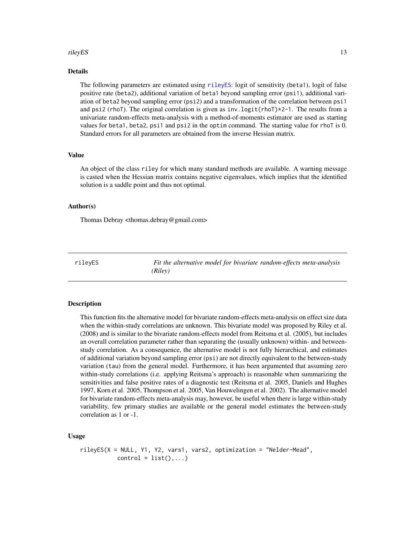#### <span id="page-12-0"></span>rileyES and the state of the state of the state of the state of the state of the state of the state of the state of the state of the state of the state of the state of the state of the state of the state of the state of th

# Details

The following parameters are estimated using [rileyES](#page-12-1): logit of sensitivity (beta1), logit of false positive rate (beta2), additional variation of beta1 beyond sampling error (psi1), additional variation of beta2 beyond sampling error (psi2) and a transformation of the correlation between psi1 and psi2 (rhoT). The original correlation is given as inv.logit(rhoT)\*2-1. The results from a univariate random-effects meta-analysis with a method-of-moments estimator are used as starting values for beta1, beta2, psi1 and psi2 in the optim command. The starting value for rhoT is 0. Standard errors for all parameters are obtained from the inverse Hessian matrix.

#### Value

An object of the class riley for which many standard methods are available. A warning message is casted when the Hessian matrix contains negative eigenvalues, which implies that the identified solution is a saddle point and thus not optimal.

# Author(s)

Thomas Debray <thomas.debray@gmail.com>

<span id="page-12-1"></span>rileyES *Fit the alternative model for bivariate random-effects meta-analysis (Riley)*

#### Description

This function fits the alternative model for bivariate random-effects meta-analysis on effect size data when the within-study correlations are unknown. This bivariate model was proposed by Riley et al. (2008) and is similar to the bivariate random-effects model from Reitsma et al. (2005), but includes an overall correlation parameter rather than separating the (usually unknown) within- and betweenstudy correlation. As a consequence, the alternative model is not fully hierarchical, and estimates of additional variation beyond sampling error (psi) are not directly equivalent to the between-study variation (tau) from the general model. Furthermore, it has been argumented that assuming zero within-study correlations (i.e. applying Reitsma's approach) is reasonable when summarizing the sensitivities and false positive rates of a diagnostic test (Reitsma et al. 2005, Daniels and Hughes 1997, Korn et al. 2005, Thompson et al. 2005, Van Houwelingen et al. 2002). The alternative model for bivariate random-effects meta-analysis may, however, be useful when there is large within-study variability, few primary studies are available or the general model estimates the between-study correlation as 1 or -1.

#### Usage

```
rileyES(X = NULL, Y1, Y2, vars1, vars2, optimization = "Nelder-Mead",
           control = list(), ...)
```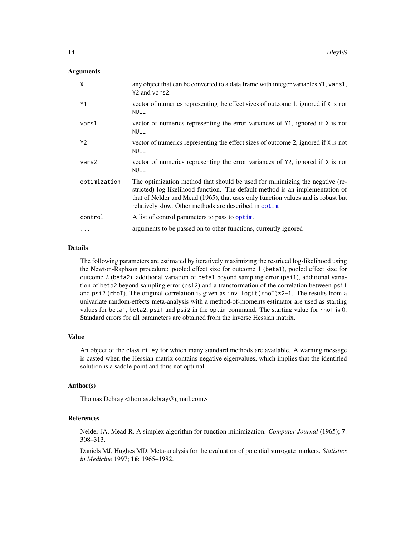# <span id="page-13-0"></span>Arguments

| X              | any object that can be converted to a data frame with integer variables Y1, vars1,<br>Y2 and vars2.                                                                                                                                                                                                         |
|----------------|-------------------------------------------------------------------------------------------------------------------------------------------------------------------------------------------------------------------------------------------------------------------------------------------------------------|
| Y1             | vector of numerics representing the effect sizes of outcome 1, ignored if X is not<br><b>NULL</b>                                                                                                                                                                                                           |
| vars1          | vector of numerics representing the error variances of Y1, ignored if X is not<br><b>NULL</b>                                                                                                                                                                                                               |
| Y <sub>2</sub> | vector of numerics representing the effect sizes of outcome 2, ignored if X is not<br><b>NULL</b>                                                                                                                                                                                                           |
| vars2          | vector of numerics representing the error variances of Y2, ignored if X is not<br><b>NULL</b>                                                                                                                                                                                                               |
| optimization   | The optimization method that should be used for minimizing the negative (re-<br>stricted) log-likelihood function. The default method is an implementation of<br>that of Nelder and Mead (1965), that uses only function values and is robust but<br>relatively slow. Other methods are described in optim. |
| control        | A list of control parameters to pass to optim.                                                                                                                                                                                                                                                              |
| $\cdots$       | arguments to be passed on to other functions, currently ignored                                                                                                                                                                                                                                             |

# Details

The following parameters are estimated by iteratively maximizing the restriced log-likelihood using the Newton-Raphson procedure: pooled effect size for outcome 1 (beta1), pooled effect size for outcome 2 (beta2), additional variation of beta1 beyond sampling error (psi1), additional variation of beta2 beyond sampling error (psi2) and a transformation of the correlation between psi1 and psi2 (rhoT). The original correlation is given as inv.  $logit(rhoT)*2-1$ . The results from a univariate random-effects meta-analysis with a method-of-moments estimator are used as starting values for beta1, beta2, psi1 and psi2 in the optim command. The starting value for rhoT is 0. Standard errors for all parameters are obtained from the inverse Hessian matrix.

#### Value

An object of the class riley for which many standard methods are available. A warning message is casted when the Hessian matrix contains negative eigenvalues, which implies that the identified solution is a saddle point and thus not optimal.

#### Author(s)

Thomas Debray <thomas.debray@gmail.com>

### References

Nelder JA, Mead R. A simplex algorithm for function minimization. *Computer Journal* (1965); 7: 308–313.

Daniels MJ, Hughes MD. Meta-analysis for the evaluation of potential surrogate markers. *Statistics in Medicine* 1997; 16: 1965–1982.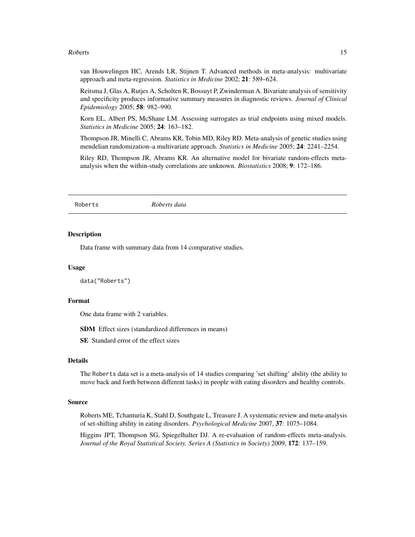#### <span id="page-14-0"></span>Roberts 15

van Houwelingen HC, Arends LR, Stijnen T. Advanced methods in meta-analysis: multivariate approach and meta-regression. *Statistics in Medicine* 2002; 21: 589–624.

Reitsma J, Glas A, Rutjes A, Scholten R, Bossuyt P, Zwinderman A. Bivariate analysis of sensitivity and specificity produces informative summary measures in diagnostic reviews. *Journal of Clinical Epidemiology* 2005; 58: 982–990.

Korn EL, Albert PS, McShane LM. Assessing surrogates as trial endpoints using mixed models. *Statistics in Medicine* 2005; 24: 163–182.

Thompson JR, Minelli C, Abrams KR, Tobin MD, Riley RD. Meta-analysis of genetic studies using mendelian randomization–a multivariate approach. *Statistics in Medicine* 2005; 24: 2241–2254.

Riley RD, Thompson JR, Abrams KR. An alternative model for bivariate random-effects metaanalysis when the within-study correlations are unknown. *Biostatistics* 2008; 9: 172–186.

Roberts *Roberts data*

#### **Description**

Data frame with summary data from 14 comparative studies.

### Usage

```
data("Roberts")
```
### Format

One data frame with 2 variables.

SDM Effect sizes (standardized differences in means)

SE Standard error of the effect sizes

#### Details

The Roberts data set is a meta-analysis of 14 studies comparing 'set shifting' ability (the ability to move back and forth between different tasks) in people with eating disorders and healthy controls.

#### Source

Roberts ME, Tchanturia K, Stahl D, Southgate L, Treasure J. A systematic review and meta-analysis of set-shifting ability in eating disorders. *Psychological Medicine* 2007, 37: 1075–1084.

Higgins JPT, Thompson SG, Spiegelhalter DJ. A re-evaluation of random-effects meta-analysis. *Journal of the Royal Statistical Society. Series A (Statistics in Society)* 2009, 172: 137–159.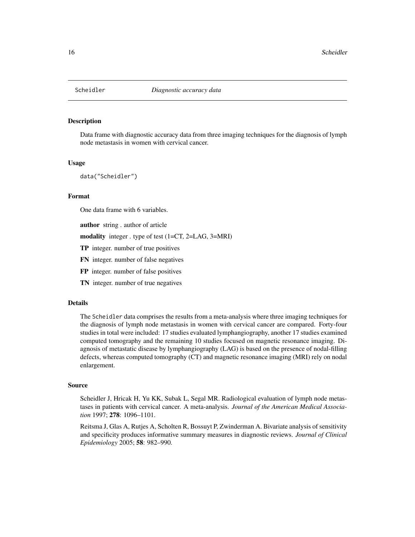<span id="page-15-1"></span><span id="page-15-0"></span>

Data frame with diagnostic accuracy data from three imaging techniques for the diagnosis of lymph node metastasis in women with cervical cancer.

#### Usage

data("Scheidler")

#### Format

One data frame with 6 variables.

author string . author of article

modality integer . type of test (1=CT, 2=LAG, 3=MRI)

- TP integer. number of true positives
- FN integer. number of false negatives
- FP integer. number of false positives
- TN integer. number of true negatives

#### Details

The Scheidler data comprises the results from a meta-analysis where three imaging techniques for the diagnosis of lymph node metastasis in women with cervical cancer are compared. Forty-four studies in total were included: 17 studies evaluated lymphangiography, another 17 studies examined computed tomography and the remaining 10 studies focused on magnetic resonance imaging. Diagnosis of metastatic disease by lymphangiography (LAG) is based on the presence of nodal-filling defects, whereas computed tomography (CT) and magnetic resonance imaging (MRI) rely on nodal enlargement.

#### Source

Scheidler J, Hricak H, Yu KK, Subak L, Segal MR. Radiological evaluation of lymph node metastases in patients with cervical cancer. A meta-analysis. *Journal of the American Medical Association* 1997; 278: 1096–1101.

Reitsma J, Glas A, Rutjes A, Scholten R, Bossuyt P, Zwinderman A. Bivariate analysis of sensitivity and specificity produces informative summary measures in diagnostic reviews. *Journal of Clinical Epidemiology* 2005; 58: 982–990.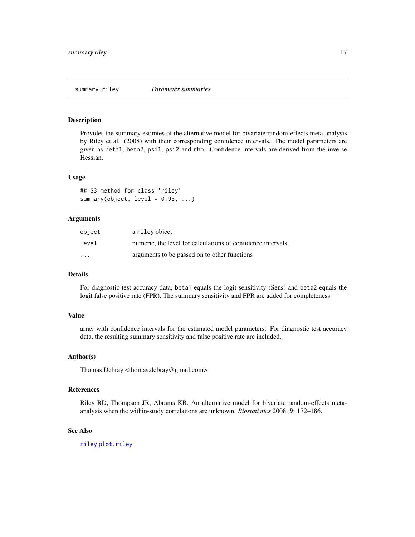<span id="page-16-1"></span><span id="page-16-0"></span>Provides the summary estimtes of the alternative model for bivariate random-effects meta-analysis by Riley et al. (2008) with their corresponding confidence intervals. The model parameters are given as beta1, beta2, psi1, psi2 and rho. Confidence intervals are derived from the inverse Hessian.

#### Usage

```
## S3 method for class 'riley'
summary(object, level = 0.95, ...)
```
# Arguments

| object  | a riley object                                              |
|---------|-------------------------------------------------------------|
| level   | numeric, the level for calculations of confidence intervals |
| $\cdot$ | arguments to be passed on to other functions                |

# Details

For diagnostic test accuracy data, beta1 equals the logit sensitivity (Sens) and beta2 equals the logit false positive rate (FPR). The summary sensitivity and FPR are added for completeness.

# Value

array with confidence intervals for the estimated model parameters. For diagnostic test accuracy data, the resulting summary sensitivity and false positive rate are included.

#### Author(s)

Thomas Debray <thomas.debray@gmail.com>

#### References

Riley RD, Thompson JR, Abrams KR. An alternative model for bivariate random-effects metaanalysis when the within-study correlations are unknown. *Biostatistics* 2008; 9: 172–186.

#### See Also

[riley](#page-9-1) [plot.riley](#page-7-1)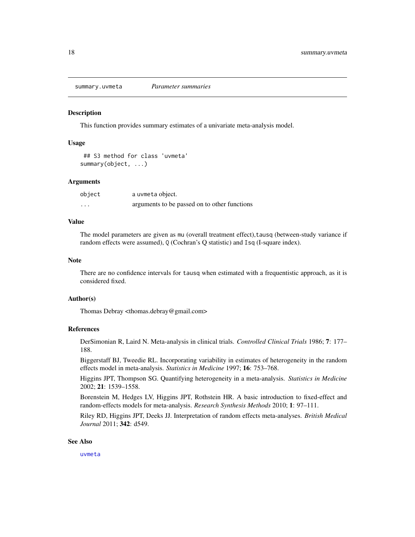<span id="page-17-0"></span>summary.uvmeta *Parameter summaries*

#### **Description**

This function provides summary estimates of a univariate meta-analysis model.

# Usage

## S3 method for class 'uvmeta' summary(object, ...)

#### Arguments

| object | a uvmeta object.                             |
|--------|----------------------------------------------|
| .      | arguments to be passed on to other functions |

#### Value

The model parameters are given as mu (overall treatment effect), tausq (between-study variance if random effects were assumed), Q (Cochran's Q statistic) and Isq (I-square index).

#### Note

There are no confidence intervals for tausq when estimated with a frequentistic approach, as it is considered fixed.

#### Author(s)

Thomas Debray <thomas.debray@gmail.com>

#### References

DerSimonian R, Laird N. Meta-analysis in clinical trials. *Controlled Clinical Trials* 1986; 7: 177– 188.

Biggerstaff BJ, Tweedie RL. Incorporating variability in estimates of heterogeneity in the random effects model in meta-analysis. *Statistics in Medicine* 1997; 16: 753–768.

Higgins JPT, Thompson SG. Quantifying heterogeneity in a meta-analysis. *Statistics in Medicine* 2002; 21: 1539–1558.

Borenstein M, Hedges LV, Higgins JPT, Rothstein HR. A basic introduction to fixed-effect and random-effects models for meta-analysis. *Research Synthesis Methods* 2010; 1: 97–111.

Riley RD, Higgins JPT, Deeks JJ. Interpretation of random effects meta-analyses. *British Medical Journal* 2011; 342: d549.

#### See Also

[uvmeta](#page-18-1)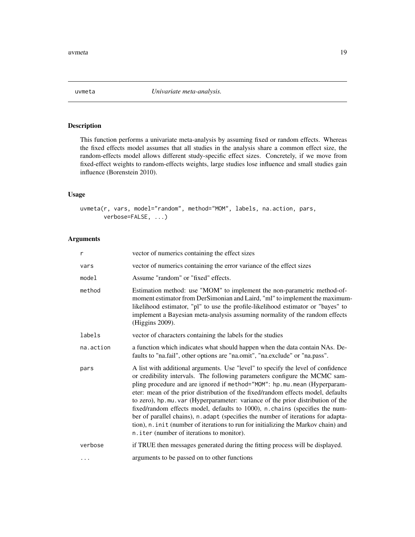<span id="page-18-1"></span><span id="page-18-0"></span>

This function performs a univariate meta-analysis by assuming fixed or random effects. Whereas the fixed effects model assumes that all studies in the analysis share a common effect size, the random-effects model allows different study-specific effect sizes. Concretely, if we move from fixed-effect weights to random-effects weights, large studies lose influence and small studies gain influence (Borenstein 2010).

# Usage

uvmeta(r, vars, model="random", method="MOM", labels, na.action, pars, verbose=FALSE, ...)

# Arguments

| r         | vector of numerics containing the effect sizes                                                                                                                                                                                                                                                                                                                                                                                                                                                                                                                                                                                                                                                                            |
|-----------|---------------------------------------------------------------------------------------------------------------------------------------------------------------------------------------------------------------------------------------------------------------------------------------------------------------------------------------------------------------------------------------------------------------------------------------------------------------------------------------------------------------------------------------------------------------------------------------------------------------------------------------------------------------------------------------------------------------------------|
| vars      | vector of numerics containing the error variance of the effect sizes                                                                                                                                                                                                                                                                                                                                                                                                                                                                                                                                                                                                                                                      |
| model     | Assume "random" or "fixed" effects.                                                                                                                                                                                                                                                                                                                                                                                                                                                                                                                                                                                                                                                                                       |
| method    | Estimation method: use "MOM" to implement the non-parametric method-of-<br>moment estimator from DerSimonian and Laird, "ml" to implement the maximum-<br>likelihood estimator, "pl" to use the profile-likelihood estimator or "bayes" to<br>implement a Bayesian meta-analysis assuming normality of the random effects<br>(Higgins 2009).                                                                                                                                                                                                                                                                                                                                                                              |
| labels    | vector of characters containing the labels for the studies                                                                                                                                                                                                                                                                                                                                                                                                                                                                                                                                                                                                                                                                |
| na.action | a function which indicates what should happen when the data contain NAs. De-<br>faults to "na.fail", other options are "na.omit", "na.exclude" or "na.pass".                                                                                                                                                                                                                                                                                                                                                                                                                                                                                                                                                              |
| pars      | A list with additional arguments. Use "level" to specify the level of confidence<br>or credibility intervals. The following parameters configure the MCMC sam-<br>pling procedure and are ignored if method="MOM": hp.mu.mean (Hyperparam-<br>eter: mean of the prior distribution of the fixed/random effects model, defaults<br>to zero), hp.mu.var (Hyperparameter: variance of the prior distribution of the<br>fixed/random effects model, defaults to 1000), n.chains (specifies the num-<br>ber of parallel chains), n. adapt (specifies the number of iterations for adapta-<br>tion), n. init (number of iterations to run for initializing the Markov chain) and<br>n. i ter (number of iterations to monitor). |
| verbose   | if TRUE then messages generated during the fitting process will be displayed.                                                                                                                                                                                                                                                                                                                                                                                                                                                                                                                                                                                                                                             |
| .         | arguments to be passed on to other functions                                                                                                                                                                                                                                                                                                                                                                                                                                                                                                                                                                                                                                                                              |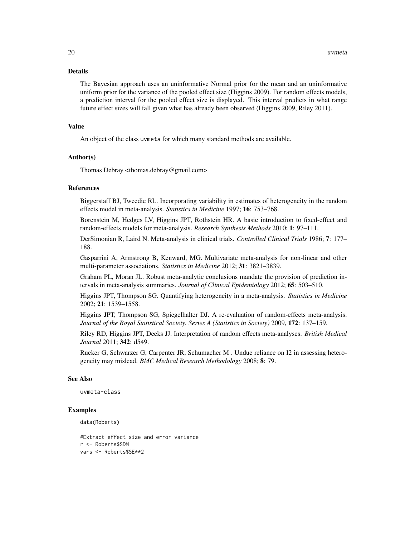#### Details

The Bayesian approach uses an uninformative Normal prior for the mean and an uninformative uniform prior for the variance of the pooled effect size (Higgins 2009). For random effects models, a prediction interval for the pooled effect size is displayed. This interval predicts in what range future effect sizes will fall given what has already been observed (Higgins 2009, Riley 2011).

#### Value

An object of the class uvmeta for which many standard methods are available.

#### Author(s)

Thomas Debray <thomas.debray@gmail.com>

#### References

Biggerstaff BJ, Tweedie RL. Incorporating variability in estimates of heterogeneity in the random effects model in meta-analysis. *Statistics in Medicine* 1997; 16: 753–768.

Borenstein M, Hedges LV, Higgins JPT, Rothstein HR. A basic introduction to fixed-effect and random-effects models for meta-analysis. *Research Synthesis Methods* 2010; 1: 97–111.

DerSimonian R, Laird N. Meta-analysis in clinical trials. *Controlled Clinical Trials* 1986; 7: 177– 188.

Gasparrini A, Armstrong B, Kenward, MG. Multivariate meta-analysis for non-linear and other multi-parameter associations. *Statistics in Medicine* 2012; 31: 3821–3839.

Graham PL, Moran JL. Robust meta-analytic conclusions mandate the provision of prediction intervals in meta-analysis summaries. *Journal of Clinical Epidemiology* 2012; 65: 503–510.

Higgins JPT, Thompson SG. Quantifying heterogeneity in a meta-analysis. *Statistics in Medicine* 2002; 21: 1539–1558.

Higgins JPT, Thompson SG, Spiegelhalter DJ. A re-evaluation of random-effects meta-analysis. *Journal of the Royal Statistical Society. Series A (Statistics in Society)* 2009, 172: 137–159.

Riley RD, Higgins JPT, Deeks JJ. Interpretation of random effects meta-analyses. *British Medical Journal* 2011; 342: d549.

Rucker G, Schwarzer G, Carpenter JR, Schumacher M . Undue reliance on I2 in assessing heterogeneity may mislead. *BMC Medical Research Methodology* 2008; 8: 79.

# See Also

uvmeta-class

#### Examples

```
data(Roberts)
```

```
#Extract effect size and error variance
r <- Roberts$SDM
vars <- Roberts$SE**2
```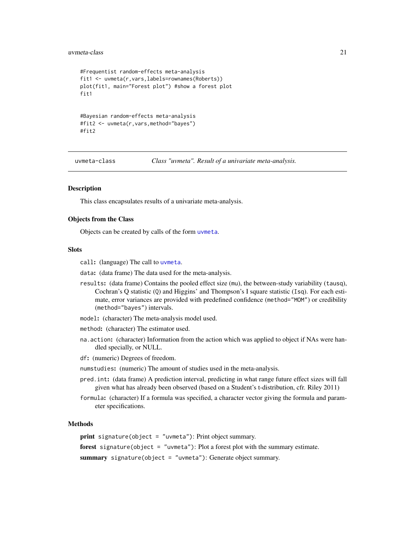#### <span id="page-20-0"></span>uvmeta-class 21

```
#Frequentist random-effects meta-analysis
fit1 <- uvmeta(r,vars,labels=rownames(Roberts))
plot(fit1, main="Forest plot") #show a forest plot
fit1
#Bayesian random-effects meta-analysis
#fit2 <- uvmeta(r,vars,method="bayes")
#fit2
```
uvmeta-class *Class "uvmeta". Result of a univariate meta-analysis.*

#### **Description**

This class encapsulates results of a univariate meta-analysis.

#### Objects from the Class

Objects can be created by calls of the form [uvmeta](#page-18-1).

#### **Slots**

- call: (language) The call to [uvmeta](#page-18-1).
- data: (data frame) The data used for the meta-analysis.
- results: (data frame) Contains the pooled effect size (mu), the between-study variability (tausq), Cochran's Q statistic (Q) and Higgins' and Thompson's I square statistic (Isq). For each estimate, error variances are provided with predefined confidence (method="MOM") or credibility (method="bayes") intervals.
- model: (character) The meta-analysis model used.
- method: (character) The estimator used.
- na.action: (character) Information from the action which was applied to object if NAs were handled specially, or NULL.
- df: (numeric) Degrees of freedom.
- numstudies: (numeric) The amount of studies used in the meta-analysis.
- pred.int: (data frame) A prediction interval, predicting in what range future effect sizes will fall given what has already been observed (based on a Student's t-distribution, cfr. Riley 2011)
- formula: (character) If a formula was specified, a character vector giving the formula and parameter specifications.

#### Methods

print signature(object = "uvmeta"): Print object summary.

forest signature(object = "uvmeta"): Plot a forest plot with the summary estimate.

summary signature(object = "uvmeta"): Generate object summary.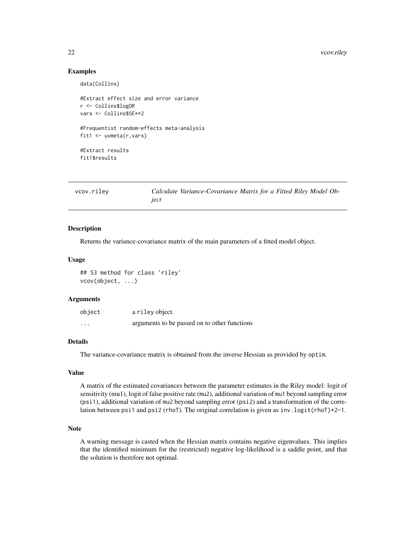#### <span id="page-21-0"></span>22 vcov.riley

# Examples

data(Collins)

```
#Extract effect size and error variance
r <- Collins$logOR
vars <- Collins$SE**2
#Frequentist random-effects meta-analysis
fit1 <- uvmeta(r,vars)
#Extract results
fit1$results
```
<span id="page-21-1"></span>vcov.riley *Calculate Variance-Covariance Matrix for a Fitted Riley Model Object*

#### Description

Returns the variance-covariance matrix of the main parameters of a fitted model object.

#### Usage

## S3 method for class 'riley' vcov(object, ...)

#### Arguments

| object  | a riley object.                              |
|---------|----------------------------------------------|
| $\cdot$ | arguments to be passed on to other functions |

#### Details

The variance-covariance matrix is obtained from the inverse Hessian as provided by optim.

# Value

A matrix of the estimated covariances between the parameter estimates in the Riley model: logit of sensitivity (mu1), logit of false positive rate (mu2), additional variation of mu1 beyond sampling error (psi1), additional variation of mu2 beyond sampling error (psi2) and a transformation of the correlation between psi1 and psi2 (rhoT). The original correlation is given as inv. logit(rhoT)\*2-1.

# Note

A warning message is casted when the Hessian matrix contains negative eigenvalues. This implies that the identified minimum for the (restricted) negative log-likelihood is a saddle point, and that the solution is therefore not optimal.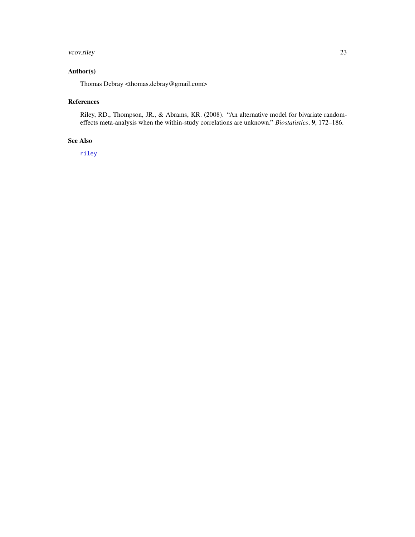#### <span id="page-22-0"></span>vcov.riley 23

# Author(s)

Thomas Debray <thomas.debray@gmail.com>

### References

Riley, RD., Thompson, JR., & Abrams, KR. (2008). "An alternative model for bivariate randomeffects meta-analysis when the within-study correlations are unknown." *Biostatistics*, 9, 172–186.

# See Also

[riley](#page-9-1)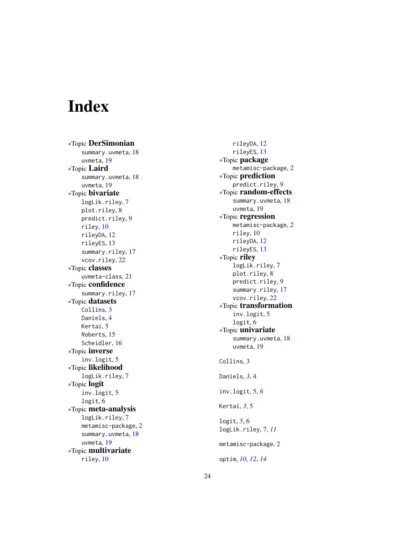# <span id="page-23-0"></span>Index

∗Topic DerSimonian summary.uvmeta , [18](#page-17-0) uvmeta , [19](#page-18-0) ∗Topic Laird summary.uvmeta, [18](#page-17-0) uvmeta , [19](#page-18-0) ∗Topic bivariate logLik.riley , [7](#page-6-0) plot.riley , [8](#page-7-0) predict.riley , [9](#page-8-0) riley , [10](#page-9-0) rileyDA , [12](#page-11-0) rileyES , [13](#page-12-0) summary.riley, [17](#page-16-0) vcov.riley, [22](#page-21-0) ∗Topic classes uvmeta-class , [21](#page-20-0) ∗Topic confidence summary.riley, [17](#page-16-0) ∗Topic datasets Collins, [3](#page-2-0) Daniels , [4](#page-3-0) Kertai, <mark>[5](#page-4-0)</mark> Roberts , [15](#page-14-0) Scheidler, [16](#page-15-0) ∗Topic inverse inv.logit , [5](#page-4-0) ∗Topic likelihood logLik.riley , [7](#page-6-0) ∗Topic logit inv.logit , [5](#page-4-0) logit, [6](#page-5-0) ∗Topic meta-analysis logLik.riley , [7](#page-6-0) metamisc-package, [2](#page-1-0) summary.uvmeta , [18](#page-17-0) uvmeta , [19](#page-18-0) ∗Topic multivariate riley , [10](#page-9-0)

rileyDA , [12](#page-11-0) rileyES , [13](#page-12-0) ∗Topic package metamisc-package , [2](#page-1-0) ∗Topic prediction predict.riley, <mark>[9](#page-8-0)</mark> ∗Topic random-effects summary.uvmeta, [18](#page-17-0) uvmeta , [19](#page-18-0) ∗Topic regression metamisc-package , [2](#page-1-0) riley , [10](#page-9-0) rileyDA , [12](#page-11-0) rileyES , [13](#page-12-0) ∗Topic riley logLik.riley , [7](#page-6-0) plot.riley, <mark>[8](#page-7-0)</mark> predict.riley , [9](#page-8-0) summary.riley, [17](#page-16-0) vcov.riley, [22](#page-21-0) ∗Topic transformation inv.logit , [5](#page-4-0) logit , [6](#page-5-0) ∗Topic univariate summary.uvmeta, [18](#page-17-0) uvmeta , [19](#page-18-0) Collins , [3](#page-2-0) Daniels , *[3](#page-2-0)* , [4](#page-3-0) inv.logit , [5](#page-4-0) , *[6](#page-5-0)* Kertai , *[3](#page-2-0)* , [5](#page-4-0) logit , *[5](#page-4-0)* , [6](#page-5-0) logLik.riley , [7](#page-6-0) , *[11](#page-10-0)* metamisc-package, [2](#page-1-0) optim , *[10](#page-9-0)* , *[12](#page-11-0)* , *[14](#page-13-0)*